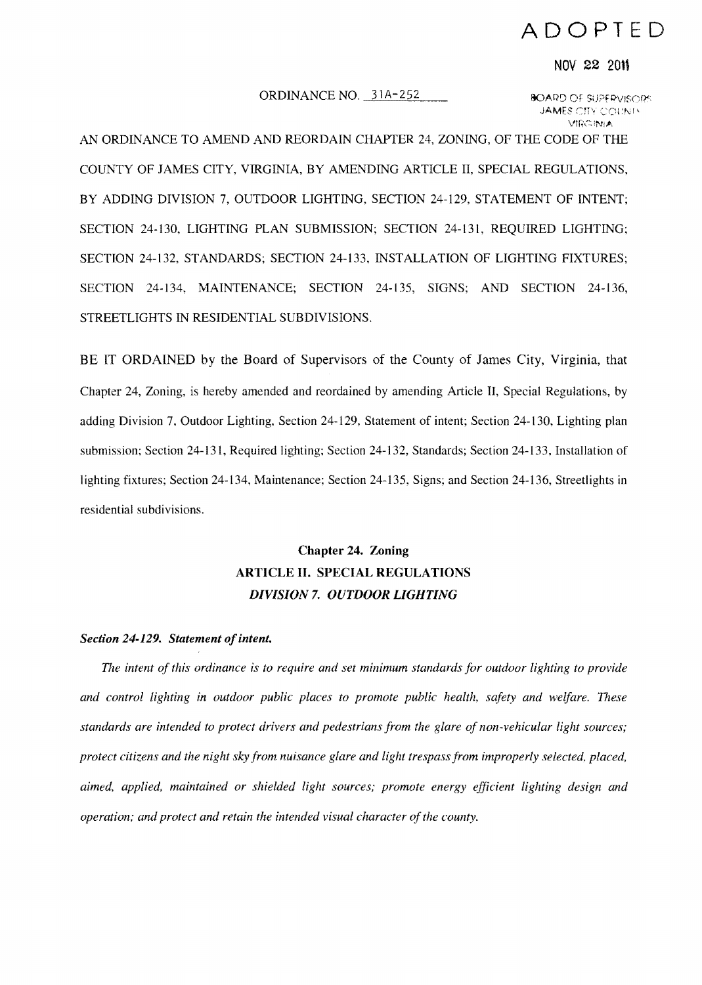# ADOPTED

#### NOV 22 2011

# ORDINANCE NO. 31A-252 **SOARD OF SUPERVISORS**

JAMES CITY COUNTY Vm(~iNiJ.,

AN ORDINANCE TO AMEND AND REORDAIN CHAPTER 24, ZONING, OF THE CODE OF THE COUNTY OF JAMES CITY, VIRGINIA, BY AMENDING ARTICLE II, SPECIAL REGULATIONS, BY ADDING DIVISION 7, OUTDOOR LIGHTING, SECTION 24-129, STATEMENT OF INTENT; SECTION 24-130, LIGHTING PLAN SUBMISSION; SECTION 24-131, REQUIRED LIGHTING; SECTION 24-132, STANDARDS; SECTION 24-133, INSTALLATION OF LIGHTING FIXTURES; SECTION 24-134, MAINTENANCE; SECTION 24-135, SIGNS; AND SECTION 24-136, STREETLIGHTS IN RESIDENTIAL SUBDIVISIONS.

BE IT ORDAINED by the Board of Supervisors of the County of James City, Virginia, that Chapter 24, Zoning, is hereby amended and reordained by amending Article II, Special Regulations, by adding Division 7, Outdoor Lighting, Section 24-129, Statement of intent; Section 24-130, Lighting plan submission; Section 24-131, Required lighting; Section 24-132, Standards; Section 24-133, Installation of lighting fixtures; Section 24-134, Maintenance; Section 24-135, Signs; and Section 24-136, Streetlights in residential subdivisions.

# Chapter 24. Zoning ARTICLE II. SPECIAL REGULATIONS *DIVISION* 7. *OUTDOOR LIGHTING*

# **Section 24-129. Statement of intent.**

*The intent of this ordinance is to require and set minimum standards for outdoor lighting to provide and control lighting* in *outdoor public places to promote public health, safety and welfare. These standards are intended to protect drivers and pedestrians from the glare of non-vehicular light sources; protect citizens and the night sky from nuisance glare and light trespass from improperly selected, placed. aimed, applied, maintained or shielded light sources; promote energy efficient lighting design and operation; and protect and retain the intended visual character of the county.*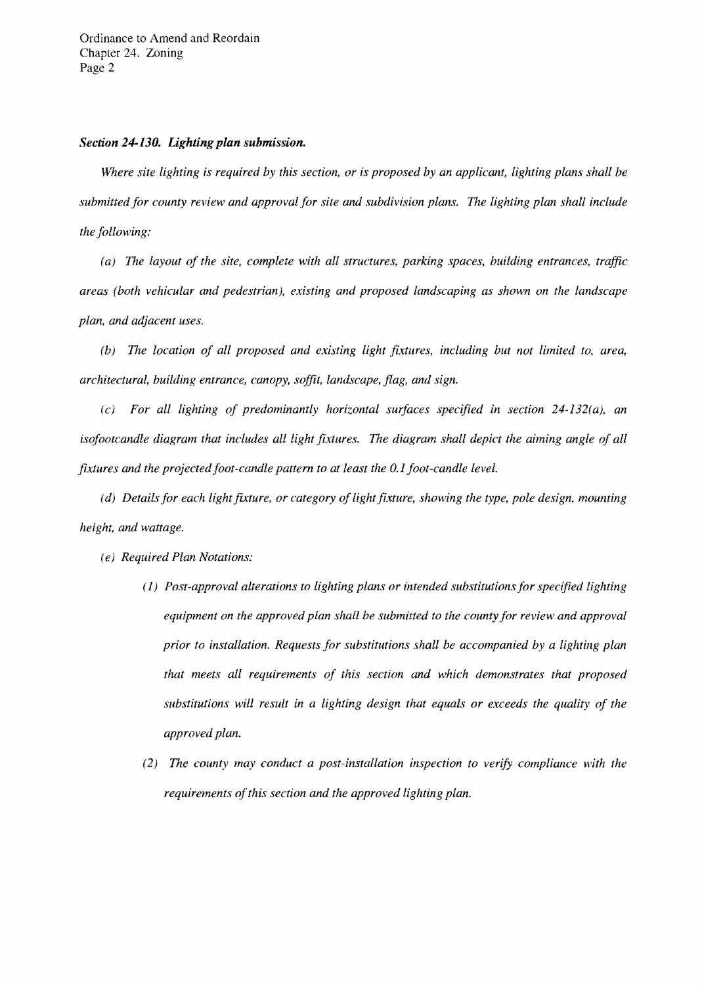# *Section 24-130. Lighting plan submission.*

*Where site lighting is required by this section, or is proposed by an applicant, lighting plans shall be submitted for county review and approval for site and subdivision plans. The lighting plan shall include the following:* 

*(a) The layout of the site, complete with all structures, parking spaces, building entrances, traffic areas (both vehicular and pedestrian), existing and proposed landscaping as shown on the landscape pian, and adjacent uses.* 

(b) The location of all proposed and existing light fixtures, including but not limited to, area, *architectural, building entrance, canopy, soffit, landscape, flag, and sign.* 

*(c) For all lighting of predominantly horizontal surfaces specified in section 24-132(a), an*  isofootcandle diagram that includes all light fixtures. The diagram shall depict the aiming angle of all *fixtures and the projected foot-candle pattern to at least the 0.1 foot-candle level.* 

*(d) Details for each light fixture, or category of light fixture, showing the type, pole design, mounting height, and wattage.* 

- *(e) Required Plan Notations:* 
	- *(1) Post-approval alterations to lighting plans or intended substitutions for specified lighting equipment on the approved plan shall be submitted to the county for review and approval prior to installation. Requests for substitutions shall be accompanied by a lighting plan that meets all requirements of this section and which demonstrates that proposed substitutions will result in a lighting design that equals or exceeds the quality of the approved plan.*
	- *(2) The county may conduct a post-installation inspection to verify compliance with the requirements of this section and the approved lighting plan.*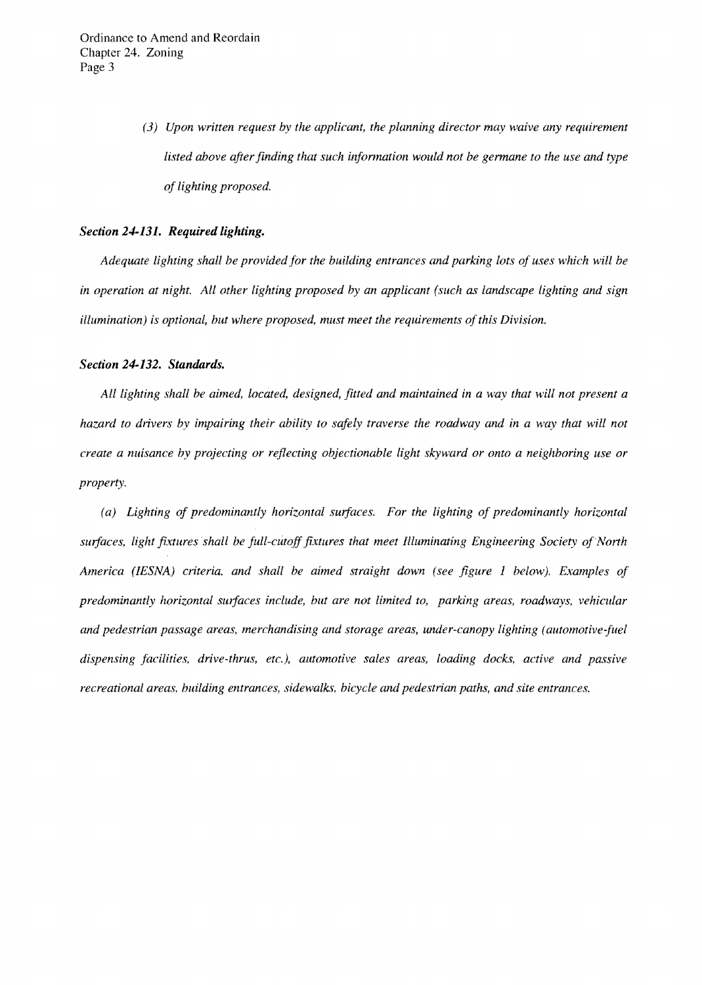*(3) Upon written request by the applicant, the planning director may waive any requirement listed above after finding that such information would not be germane to the use and type of lighting proposed.* 

#### *Section* **24-131.** *Required lighting.*

*Adequate lighting shall be provided for the building entrances and parking lots of uses which will be in operation at night. All other lighting proposed by an applicant (such as landscape lighting and sign illumination) is optional, but where proposed, must meet the requirements of this Division.* 

#### *Section* **24-132.** *Standards.*

All lighting shall be aimed, located, designed, fitted and maintained in a way that will not present a *hazard to drivers by impairing their ability to safely traverse the roadway and in a way that will not create a nuisance by projecting or reflecting objectionable light skyward or onto a neighboring use or property.* 

(a) Lighting of predominantly horizontal surfaces. For the lighting of predominantly horizontal surfaces, light fixtures shall be full-cutoff fixtures that meet Illuminating Engineering Society of North *America (IESNA) criteria. and shall be aimed straight down (see figure* 1 *below). Examples of*  predominantly horizontal surfaces include, but are not limited to, parking areas, roadways, vehicular *and pedestrian passage areas, merchandising and storage areas, under-canopy lighting (automotive-fuel dispensing facilities. drive-thrus, etc.), automotive sales areas, loading docks, active and passive recreational areas, building entrances, sidewalks, bicycle and pedestrian paths, and site entrances.*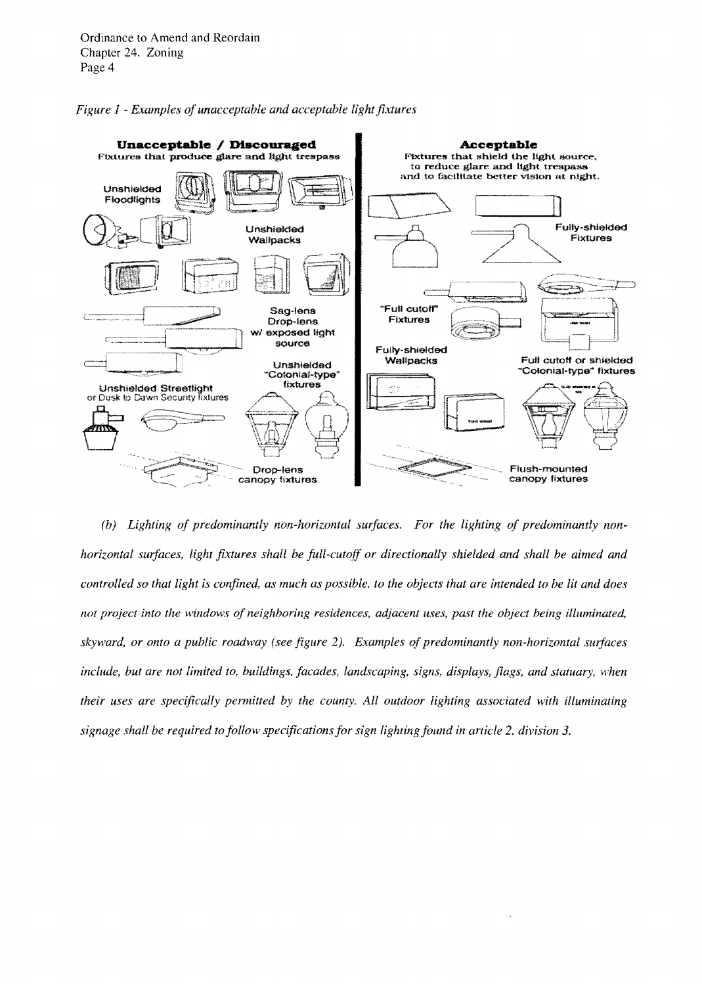



(b) Lighting of predominantly non-horizontal surfaces. For the lighting of predominantly non*horizontal surfaces, light fixtures shall be full-cutoff or directionally shielded and shall be aimed and controlled so that light is confined, as much as possible. to the objects that are intended to be lit and does not project into the windows of neighboring residences, adjacent uses, past the object being illuminated,* skyward, or onto a public roadway (see figure 2). *Examples of predominantly non-horizontal surfaces include, but are not limited to, buildings, facades, landscaping, signs, displays, flags, and statuary, ·when their uses are specifically permitted by the county. All outdoor lighting associated with illuminating signage shall be required to follow specifications for sign lighting found in article* 2, *division 3.*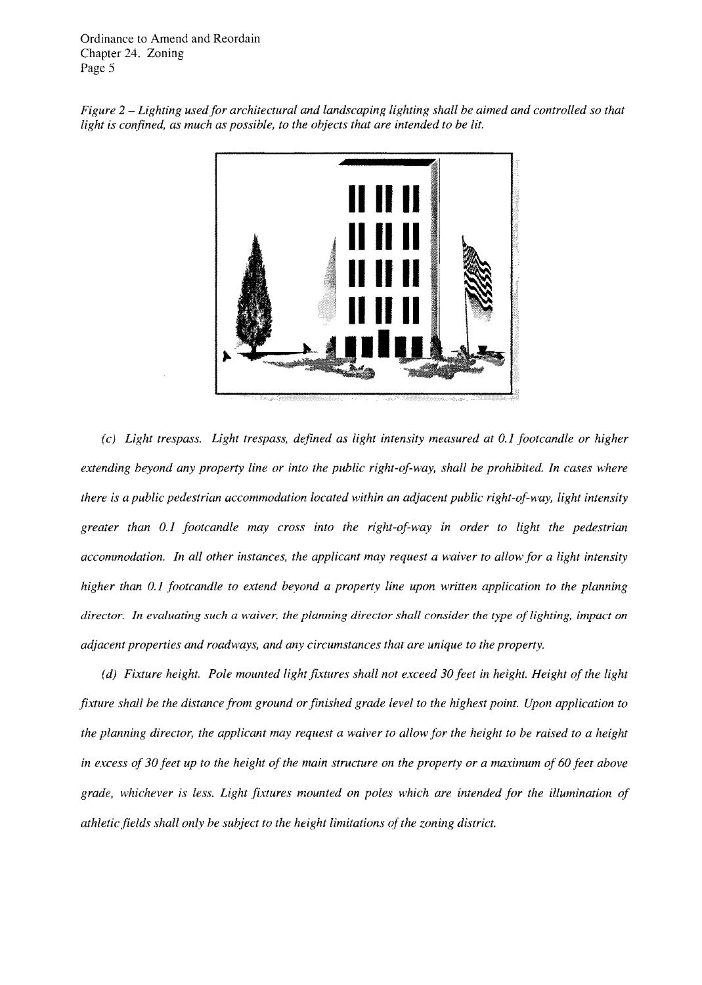Ordinance to Amend and Reordain Chapter 24. Zoning Page 5





*(c)* Light trespass. Light trespass, defined as light intensity measured at 0.1 footcandle or higher *extending beyond any property line or into the public right-oj-way, shall be prohibited. In cases where there is a public pedestrian accommodation located within an adjacent public right-of-way, light intensity* greater than 0.1 footcandle may cross into the right-of-way in order to light the pedestrian *accommodation. In all other instances, the applicant may request a waiver to allow Jor a light intensity higher than 0.1 footcandle to extend beyond a property line upon written application to the planning director. In evaluating such a waiver, the planning director shall consider the type oj lighting, impact on adjacent properties and roadways, and any circumstances that are unique to the property.* 

*(d) Fixture height. Pole mounted light fixtures shall not exceed 30 feet in height. Height of the light* fixture shall be the distance from ground or finished grade level to the highest point. Upon application to *the planning director, the applicant may request a waiver to allow for the height to be raised to a height in excess oj 30 Jeet up to the height oj the main structure on the property or a matimum oj 60 Jeet above grade, whichever is less. Light fixtures mounted on poles which are intended Jor the illumination oj athletic Jields shall only be subject to the height limitations ojthe zoning district.*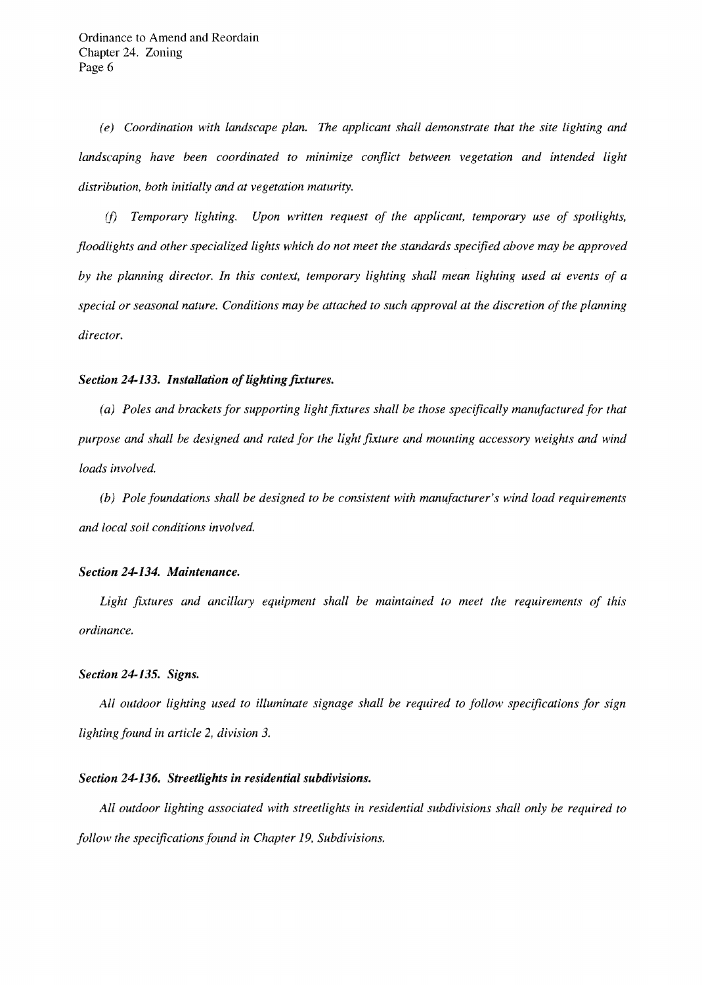(*e) Coordination with landscape plan. The applicant shall demonstrate that the site lighting and*  landscaping have been coordinated to minimize conflict between vegetation and intended light *distribution, both initially and at vegetation maturity.* 

*(f) Temporary lighting. Upon written request of the applicant, temporary use of spotlights, floodlights and other specialized lights which do not meet the standards specified above may be approved by the planning director. 1n this context, temporary lighting shall mean lighting used at events of a special or seasonal nature. Conditions may be attached to such approval at the discretion of the planning director.* 

#### *Section* 24-133. *Installation oJlighting futures.*

*(a) Poles and brackets for supporting light fixtures shall be those specifically manufactured for that purpose and shall be designed and rated for the light future and mounting accessory weights and wind loads involved.* 

*(b) Pole foundations shall be designed to be consistent with manufacturer's wind load requirements and local soil conditions involved.* 

#### *Section* 24-134. *Maintenance.*

*Light fixtures and ancillary equipment shall be maintained to meet the requirements of this ordinance.* 

### *Section* 24-135. *Signs.*

*All outdoor lighting used to illuminate signage shall be required to follow specifications for sign lighting found in article* 2, *division 3.* 

# *Section* 24-136. *Streetlights in residential subdivisions.*

*All outdoor lighting associated with streetlights in residential subdivisions shall only be required to follow the specifications found in Chapter* 19, *Subdivisions.*